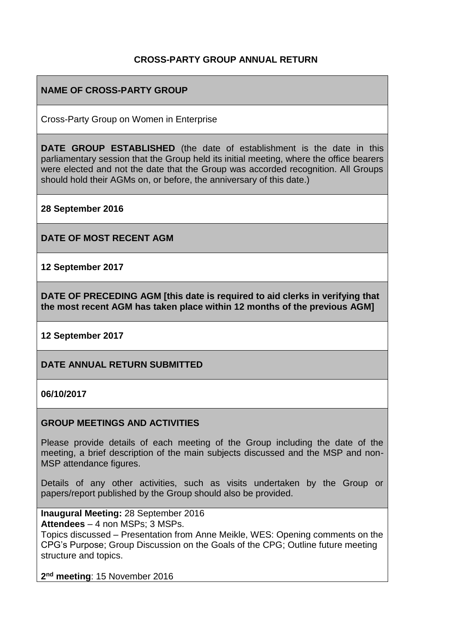## **CROSS-PARTY GROUP ANNUAL RETURN**

# **NAME OF CROSS-PARTY GROUP**

Cross-Party Group on Women in Enterprise

**DATE GROUP ESTABLISHED** (the date of establishment is the date in this parliamentary session that the Group held its initial meeting, where the office bearers were elected and not the date that the Group was accorded recognition. All Groups should hold their AGMs on, or before, the anniversary of this date.)

**28 September 2016**

**DATE OF MOST RECENT AGM**

**12 September 2017**

**DATE OF PRECEDING AGM [this date is required to aid clerks in verifying that the most recent AGM has taken place within 12 months of the previous AGM]**

**12 September 2017**

**DATE ANNUAL RETURN SUBMITTED**

**06/10/2017**

#### **GROUP MEETINGS AND ACTIVITIES**

Please provide details of each meeting of the Group including the date of the meeting, a brief description of the main subjects discussed and the MSP and non-MSP attendance figures.

Details of any other activities, such as visits undertaken by the Group or papers/report published by the Group should also be provided.

**Inaugural Meeting:** 28 September 2016 **Attendees** – 4 non MSPs; 3 MSPs.

Topics discussed – Presentation from Anne Meikle, WES: Opening comments on the CPG's Purpose; Group Discussion on the Goals of the CPG; Outline future meeting structure and topics.

**2 nd meeting**: 15 November 2016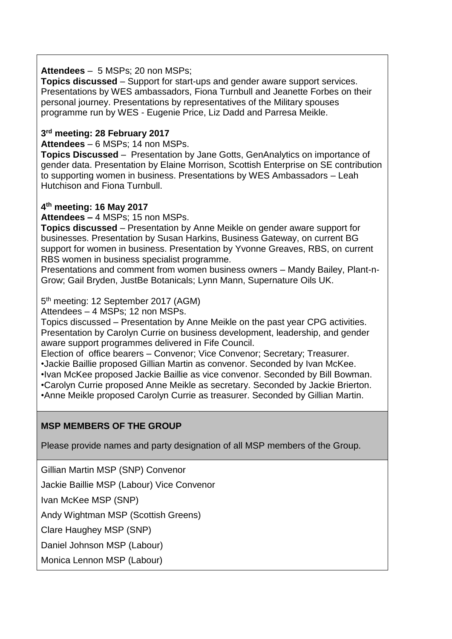### **Attendees** – 5 MSPs; 20 non MSPs;

**Topics discussed** – Support for start-ups and gender aware support services. Presentations by WES ambassadors, Fiona Turnbull and Jeanette Forbes on their personal journey. Presentations by representatives of the Military spouses programme run by WES - Eugenie Price, Liz Dadd and Parresa Meikle.

### **3 rd meeting: 28 February 2017**

**Attendees** – 6 MSPs; 14 non MSPs.

**Topics Discussed** – Presentation by Jane Gotts, GenAnalytics on importance of gender data. Presentation by Elaine Morrison, Scottish Enterprise on SE contribution to supporting women in business. Presentations by WES Ambassadors – Leah Hutchison and Fiona Turnbull.

### **4 th meeting: 16 May 2017**

**Attendees –** 4 MSPs; 15 non MSPs.

**Topics discussed** – Presentation by Anne Meikle on gender aware support for businesses. Presentation by Susan Harkins, Business Gateway, on current BG support for women in business. Presentation by Yvonne Greaves, RBS, on current RBS women in business specialist programme.

Presentations and comment from women business owners – Mandy Bailey, Plant-n-Grow; Gail Bryden, JustBe Botanicals; Lynn Mann, Supernature Oils UK.

5<sup>th</sup> meeting: 12 September 2017 (AGM)

Attendees – 4 MSPs; 12 non MSPs.

Topics discussed – Presentation by Anne Meikle on the past year CPG activities. Presentation by Carolyn Currie on business development, leadership, and gender aware support programmes delivered in Fife Council.

Election of office bearers – Convenor; Vice Convenor; Secretary; Treasurer.

•Jackie Baillie proposed Gillian Martin as convenor. Seconded by Ivan McKee. •Ivan McKee proposed Jackie Baillie as vice convenor. Seconded by Bill Bowman. •Carolyn Currie proposed Anne Meikle as secretary. Seconded by Jackie Brierton. •Anne Meikle proposed Carolyn Currie as treasurer. Seconded by Gillian Martin.

# **MSP MEMBERS OF THE GROUP**

Please provide names and party designation of all MSP members of the Group.

Gillian Martin MSP (SNP) Convenor

Jackie Baillie MSP (Labour) Vice Convenor

Ivan McKee MSP (SNP)

Andy Wightman MSP (Scottish Greens)

Clare Haughey MSP (SNP)

Daniel Johnson MSP (Labour)

Monica Lennon MSP (Labour)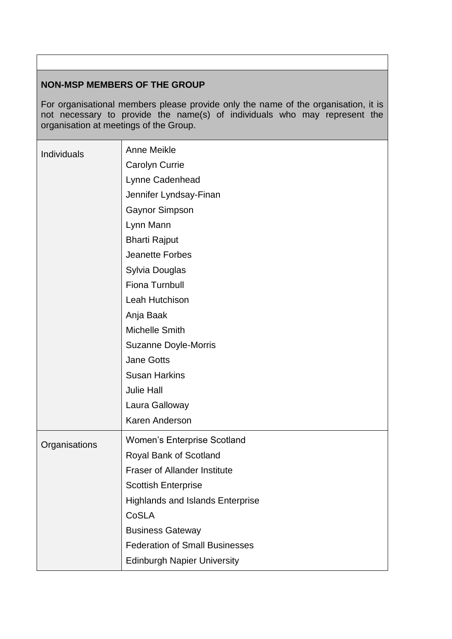### **NON-MSP MEMBERS OF THE GROUP**

For organisational members please provide only the name of the organisation, it is not necessary to provide the name(s) of individuals who may represent the organisation at meetings of the Group.

| Individuals   | Anne Meikle                             |
|---------------|-----------------------------------------|
|               | Carolyn Currie                          |
|               | Lynne Cadenhead                         |
|               | Jennifer Lyndsay-Finan                  |
|               | <b>Gaynor Simpson</b>                   |
|               | Lynn Mann                               |
|               | <b>Bharti Rajput</b>                    |
|               | <b>Jeanette Forbes</b>                  |
|               | Sylvia Douglas                          |
|               | Fiona Turnbull                          |
|               | Leah Hutchison                          |
|               | Anja Baak                               |
|               | Michelle Smith                          |
|               | <b>Suzanne Doyle-Morris</b>             |
|               | <b>Jane Gotts</b>                       |
|               | <b>Susan Harkins</b>                    |
|               | <b>Julie Hall</b>                       |
|               | Laura Galloway                          |
|               | Karen Anderson                          |
| Organisations | <b>Women's Enterprise Scotland</b>      |
|               | Royal Bank of Scotland                  |
|               | <b>Fraser of Allander Institute</b>     |
|               | <b>Scottish Enterprise</b>              |
|               | <b>Highlands and Islands Enterprise</b> |
|               | CoSLA                                   |
|               | <b>Business Gateway</b>                 |
|               | <b>Federation of Small Businesses</b>   |
|               | <b>Edinburgh Napier University</b>      |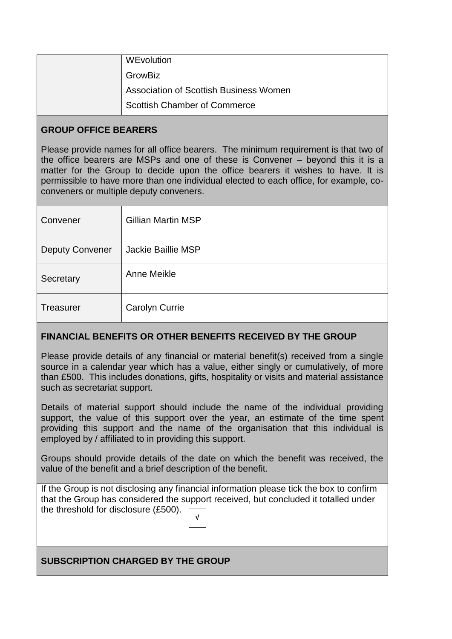| WEvolution                                    |
|-----------------------------------------------|
| GrowBiz                                       |
| <b>Association of Scottish Business Women</b> |
| <b>Scottish Chamber of Commerce</b>           |

### **GROUP OFFICE BEARERS**

Please provide names for all office bearers. The minimum requirement is that two of the office bearers are MSPs and one of these is Convener – beyond this it is a matter for the Group to decide upon the office bearers it wishes to have. It is permissible to have more than one individual elected to each office, for example, coconveners or multiple deputy conveners.

| Convener               | <b>Gillian Martin MSP</b> |
|------------------------|---------------------------|
| <b>Deputy Convener</b> | <b>Jackie Baillie MSP</b> |
| Secretary              | Anne Meikle               |
| <b>Treasurer</b>       | <b>Carolyn Currie</b>     |

## **FINANCIAL BENEFITS OR OTHER BENEFITS RECEIVED BY THE GROUP**

Please provide details of any financial or material benefit(s) received from a single source in a calendar year which has a value, either singly or cumulatively, of more than £500. This includes donations, gifts, hospitality or visits and material assistance such as secretariat support.

Details of material support should include the name of the individual providing support, the value of this support over the year, an estimate of the time spent providing this support and the name of the organisation that this individual is employed by / affiliated to in providing this support.

Groups should provide details of the date on which the benefit was received, the value of the benefit and a brief description of the benefit.

If the Group is not disclosing any financial information please tick the box to confirm that the Group has considered the support received, but concluded it totalled under the threshold for disclosure (£500). √

# **SUBSCRIPTION CHARGED BY THE GROUP**